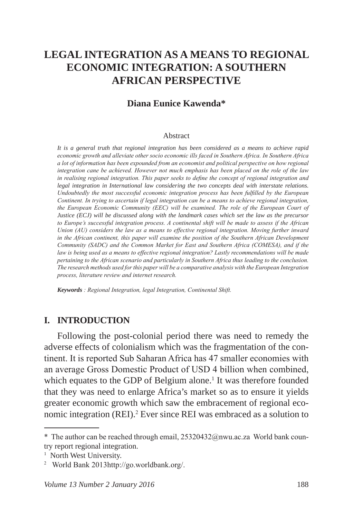# **LEGAL INTEGRATION AS A MEANS TO REGIONAL ECONOMIC INTEGRATION: A SOUTHERN AFRICAN PERSPECTIVE**

#### **Diana Eunice Kawenda\***

#### Abstract

*It is a general truth that regional integration has been considered as a means to achieve rapid economic growth and alleviate other socio economic ills faced in Southern Africa. In Southern Africa a lot of information has been expounded from an economist and political perspective on how regional integration cane be achieved. However not much emphasis has been placed on the role of the law in realising regional integration. This paper seeks to define the concept of regional integration and legal integration in International law considering the two concepts deal with interstate relations. Undoubtedly the most successful economic integration process has been fulfilled by the European Continent. In trying to ascertain if legal integration can be a means to achieve regional integration, the European Economic Community (EEC) will be examined. The role of the European Court of Justice (ECJ) will be discussed along with the landmark cases which set the law as the precursor to Europe's successful integration process. A continental shift will be made to assess if the African Union (AU) considers the law as a means to effective regional integration. Moving further inward in the African continent, this paper will examine the position of the Southern African Development Community (SADC) and the Common Market for East and Southern Africa (COMESA), and if the*  law is being used as a means to effective regional integration? Lastly recommendations will be made *pertaining to the African scenario and particularly in Southern Africa thus leading to the conclusion. The research methods used for this paper will be a comparative analysis with the European Integration process, literature review and internet research.*

*Keywords : Regional Integration, legal Integration, Continental Shift.*

#### **I. INTRODUCTION**

Following the post-colonial period there was need to remedy the adverse effects of colonialism which was the fragmentation of the continent. It is reported Sub Saharan Africa has 47 smaller economies with an average Gross Domestic Product of USD 4 billion when combined, which equates to the GDP of Belgium alone.<sup>1</sup> It was therefore founded that they was need to enlarge Africa's market so as to ensure it yields greater economic growth which saw the embracement of regional economic integration (REI).<sup>2</sup> Ever since REI was embraced as a solution to

<sup>\*</sup> The author can be reached through email, 25320432@nwu.ac.za World bank country report regional integration.

<sup>&</sup>lt;sup>1</sup> North West University.

<sup>2</sup> World Bank 2013http://go.worldbank.org/.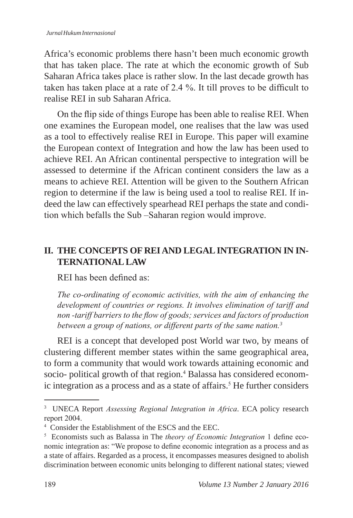Africa's economic problems there hasn't been much economic growth that has taken place. The rate at which the economic growth of Sub Saharan Africa takes place is rather slow. In the last decade growth has taken has taken place at a rate of 2.4 %. It till proves to be difficult to realise REI in sub Saharan Africa.

On the flip side of things Europe has been able to realise REI. When one examines the European model, one realises that the law was used as a tool to effectively realise REI in Europe. This paper will examine the European context of Integration and how the law has been used to achieve REI. An African continental perspective to integration will be assessed to determine if the African continent considers the law as a means to achieve REI. Attention will be given to the Southern African region to determine if the law is being used a tool to realise REI. If indeed the law can effectively spearhead REI perhaps the state and condition which befalls the Sub –Saharan region would improve.

### **II. THE CONCEPTS OF REI AND LEGAL INTEGRATION IN IN-TERNATIONAL LAW**

REI has been defined as:

*The co-ordinating of economic activities, with the aim of enhancing the development of countries or regions. It involves elimination of tariff and non -tariff barriers to the flow of goods; services and factors of production between a group of nations, or different parts of the same nation.<sup>3</sup>*

REI is a concept that developed post World war two, by means of clustering different member states within the same geographical area, to form a community that would work towards attaining economic and socio- political growth of that region.<sup>4</sup> Balassa has considered economic integration as a process and as a state of affairs.<sup>5</sup> He further considers

<sup>3</sup> UNECA Report *Assessing Regional Integration in Africa*. ECA policy research report 2004.

<sup>4</sup> Consider the Establishment of the ESCS and the EEC.

<sup>5</sup> Economists such as Balassa in The *theory of Economic Integration* 1 define economic integration as: "We propose to define economic integration as a process and as a state of affairs. Regarded as a process, it encompasses measures designed to abolish discrimination between economic units belonging to different national states; viewed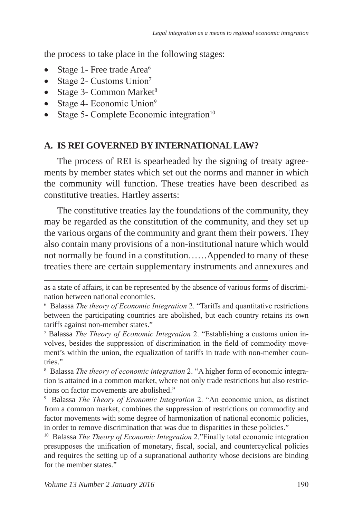the process to take place in the following stages:

- Stage 1- Free trade Area $6$
- Stage 2- Customs Union<sup>7</sup>
- Stage 3- Common Market<sup>8</sup>
- Stage 4- Economic Union<sup>9</sup>
- Stage 5- Complete Economic integration $10$

#### **A. IS REI GOVERNED BY INTERNATIONAL LAW?**

The process of REI is spearheaded by the signing of treaty agreements by member states which set out the norms and manner in which the community will function. These treaties have been described as constitutive treaties. Hartley asserts:

The constitutive treaties lay the foundations of the community, they may be regarded as the constitution of the community, and they set up the various organs of the community and grant them their powers. They also contain many provisions of a non-institutional nature which would not normally be found in a constitution……Appended to many of these treaties there are certain supplementary instruments and annexures and

as a state of affairs, it can be represented by the absence of various forms of discrimination between national economies.

<sup>6</sup> Balassa *The theory of Economic Integration* 2. "Tariffs and quantitative restrictions between the participating countries are abolished, but each country retains its own tariffs against non-member states."

<sup>7</sup> Balassa *The Theory of Economic Integration* 2. "Establishing a customs union involves, besides the suppression of discrimination in the field of commodity movement's within the union, the equalization of tariffs in trade with non-member countries."

<sup>8</sup> Balassa *The theory of economic integration* 2. "A higher form of economic integration is attained in a common market, where not only trade restrictions but also restrictions on factor movements are abolished."

<sup>9</sup> Balassa *The Theory of Economic Integration* 2. "An economic union, as distinct from a common market, combines the suppression of restrictions on commodity and factor movements with some degree of harmonization of national economic policies, in order to remove discrimination that was due to disparities in these policies."

<sup>10</sup> Balassa *The Theory of Economic Integration* 2."Finally total economic integration presupposes the unification of monetary, fiscal, social, and countercyclical policies and requires the setting up of a supranational authority whose decisions are binding for the member states."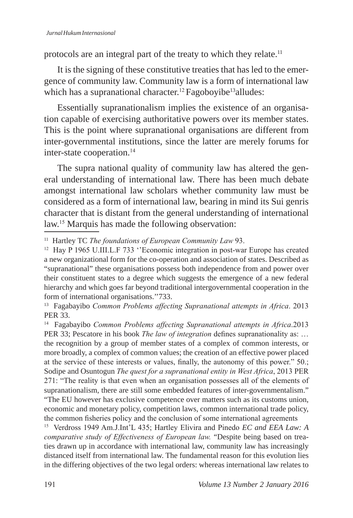protocols are an integral part of the treaty to which they relate.<sup>11</sup>

It is the signing of these constitutive treaties that has led to the emergence of community law. Community law is a form of international law which has a supranational character.<sup>12</sup> Fagoboyibe<sup>13</sup>alludes:

Essentially supranationalism implies the existence of an organisation capable of exercising authoritative powers over its member states. This is the point where supranational organisations are different from inter-governmental institutions, since the latter are merely forums for inter-state cooperation.<sup>14</sup>

The supra national quality of community law has altered the general understanding of international law. There has been much debate amongst international law scholars whether community law must be considered as a form of international law, bearing in mind its Sui genris character that is distant from the general understanding of international law.<sup>15</sup> Marquis has made the following observation:

13 Fagabayibo *Common Problems affecting Supranational attempts in Africa*. 2013 PER 33.

<sup>14</sup> Fagabayibo *Common Problems affecting Supranational attempts in Africa*.2013 PER 33; Pescatore in his book *The law of integration* defines supranationality as: … the recognition by a group of member states of a complex of common interests, or more broadly, a complex of common values; the creation of an effective power placed at the service of these interests or values, finally, the autonomy of this power." 50.; Sodipe and Osuntogun *The quest for a supranational entity in West Africa*, 2013 PER 271: "The reality is that even when an organisation possesses all of the elements of supranationalism, there are still some embedded features of inter-governmentalism."

<sup>11</sup> Hartley TC *The foundations of European Community Law* 93.

<sup>&</sup>lt;sup>12</sup> Hay P 1965 U.III.L.F 733 "Economic integration in post-war Europe has created a new organizational form for the co-operation and association of states. Described as "supranational" these organisations possess both independence from and power over their constituent states to a degree which suggests the emergence of a new federal hierarchy and which goes far beyond traditional intergovernmental cooperation in the form of international organisations.''733.

<sup>&</sup>quot;The EU however has exclusive competence over matters such as its customs union, economic and monetary policy, competition laws, common international trade policy, the common fisheries policy and the conclusion of some international agreements

<sup>15</sup> Verdross 1949 Am.J.Int'L 435; Hartley Elivira and Pinedo *EC and EEA Law: A comparative study of Effectiveness of European law.* "Despite being based on treaties drawn up in accordance with international law, community law has increasingly distanced itself from international law. The fundamental reason for this evolution lies in the differing objectives of the two legal orders: whereas international law relates to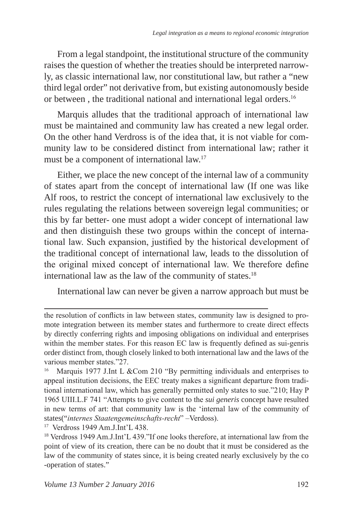From a legal standpoint, the institutional structure of the community raises the question of whether the treaties should be interpreted narrowly, as classic international law, nor constitutional law, but rather a "new third legal order" not derivative from, but existing autonomously beside or between, the traditional national and international legal orders.<sup>16</sup>

Marquis alludes that the traditional approach of international law must be maintained and community law has created a new legal order. On the other hand Verdross is of the idea that, it is not viable for community law to be considered distinct from international law; rather it must be a component of international law.17

Either, we place the new concept of the internal law of a community of states apart from the concept of international law (If one was like Alf roos, to restrict the concept of international law exclusively to the rules regulating the relations between sovereign legal communities; or this by far better- one must adopt a wider concept of international law and then distinguish these two groups within the concept of international law. Such expansion, justified by the historical development of the traditional concept of international law, leads to the dissolution of the original mixed concept of international law. We therefore define international law as the law of the community of states.18

International law can never be given a narrow approach but must be

<sup>17</sup> Verdross 1949 Am.J.Int'L 438.

the resolution of conflicts in law between states, community law is designed to promote integration between its member states and furthermore to create direct effects by directly conferring rights and imposing obligations on individual and enterprises within the member states. For this reason EC law is frequently defined as sui-genris order distinct from, though closely linked to both international law and the laws of the various member states."27.

Marquis 1977 J.Int L &Com 210 "By permitting individuals and enterprises to appeal institution decisions, the EEC treaty makes a significant departure from traditional international law, which has generally permitted only states to sue."210; Hay P 1965 UIII.L.F 741 "Attempts to give content to the *sui generis* concept have resulted in new terms of art: that community law is the 'internal law of the community of states("*internes Staatengemeinschafts-recht*" –Verdoss).

<sup>18</sup> Verdross 1949 Am.J.Int'L 439."If one looks therefore, at international law from the point of view of its creation, there can be no doubt that it must be considered as the law of the community of states since, it is being created nearly exclusively by the co -operation of states."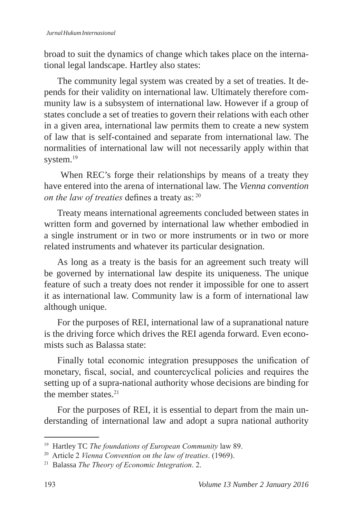broad to suit the dynamics of change which takes place on the international legal landscape. Hartley also states:

The community legal system was created by a set of treaties. It depends for their validity on international law. Ultimately therefore community law is a subsystem of international law. However if a group of states conclude a set of treaties to govern their relations with each other in a given area, international law permits them to create a new system of law that is self-contained and separate from international law. The normalities of international law will not necessarily apply within that system.<sup>19</sup>

 When REC's forge their relationships by means of a treaty they have entered into the arena of international law. The *Vienna convention on the law of treaties* defines a treaty as: 20

Treaty means international agreements concluded between states in written form and governed by international law whether embodied in a single instrument or in two or more instruments or in two or more related instruments and whatever its particular designation.

As long as a treaty is the basis for an agreement such treaty will be governed by international law despite its uniqueness. The unique feature of such a treaty does not render it impossible for one to assert it as international law. Community law is a form of international law although unique.

For the purposes of REI, international law of a supranational nature is the driving force which drives the REI agenda forward. Even economists such as Balassa state:

Finally total economic integration presupposes the unification of monetary, fiscal, social, and countercyclical policies and requires the setting up of a supra-national authority whose decisions are binding for the member states.<sup>21</sup>

For the purposes of REI, it is essential to depart from the main understanding of international law and adopt a supra national authority

<sup>19</sup> Hartley TC *The foundations of European Community* law 89.

<sup>20</sup> Article 2 *Vienna Convention on the law of treaties*. (1969).

<sup>21</sup> Balassa *The Theory of Economic Integration*. 2.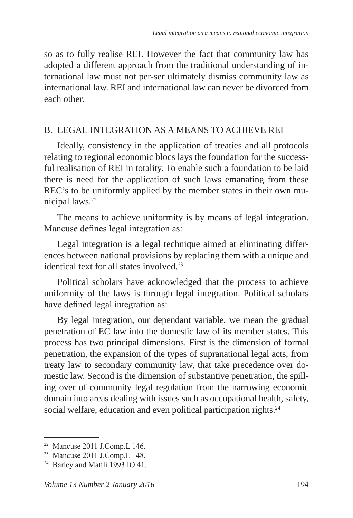so as to fully realise REI. However the fact that community law has adopted a different approach from the traditional understanding of international law must not per-ser ultimately dismiss community law as international law. REI and international law can never be divorced from each other.

#### B. LEGAL INTEGRATION AS A MEANS TO ACHIEVE REI

Ideally, consistency in the application of treaties and all protocols relating to regional economic blocs lays the foundation for the successful realisation of REI in totality. To enable such a foundation to be laid there is need for the application of such laws emanating from these REC's to be uniformly applied by the member states in their own municipal laws.<sup>22</sup>

The means to achieve uniformity is by means of legal integration. Mancuse defines legal integration as:

Legal integration is a legal technique aimed at eliminating differences between national provisions by replacing them with a unique and identical text for all states involved.<sup>23</sup>

Political scholars have acknowledged that the process to achieve uniformity of the laws is through legal integration. Political scholars have defined legal integration as:

By legal integration, our dependant variable, we mean the gradual penetration of EC law into the domestic law of its member states. This process has two principal dimensions. First is the dimension of formal penetration, the expansion of the types of supranational legal acts, from treaty law to secondary community law, that take precedence over domestic law. Second is the dimension of substantive penetration, the spilling over of community legal regulation from the narrowing economic domain into areas dealing with issues such as occupational health, safety, social welfare, education and even political participation rights.<sup>24</sup>

<sup>22</sup> Mancuse 2011 J.Comp.L 146.

<sup>23</sup> Mancuse 2011 J.Comp.L 148.

<sup>24</sup> Barley and Mattli 1993 IO 41.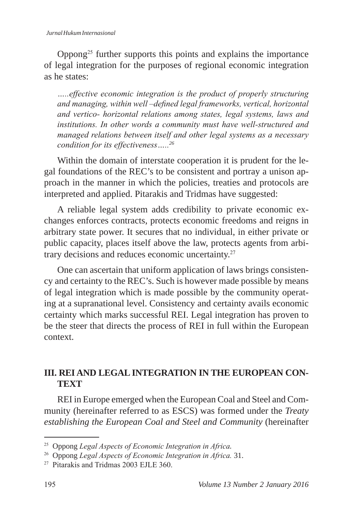Oppong<sup>25</sup> further supports this points and explains the importance of legal integration for the purposes of regional economic integration as he states:

*…..effective economic integration is the product of properly structuring and managing, within well –defined legal frameworks, vertical, horizontal and vertico- horizontal relations among states, legal systems, laws and institutions. In other words a community must have well-structured and managed relations between itself and other legal systems as a necessary condition for its effectiveness…..<sup>26</sup>*

Within the domain of interstate cooperation it is prudent for the legal foundations of the REC's to be consistent and portray a unison approach in the manner in which the policies, treaties and protocols are interpreted and applied. Pitarakis and Tridmas have suggested:

A reliable legal system adds credibility to private economic exchanges enforces contracts, protects economic freedoms and reigns in arbitrary state power. It secures that no individual, in either private or public capacity, places itself above the law, protects agents from arbitrary decisions and reduces economic uncertainty.<sup>27</sup>

One can ascertain that uniform application of laws brings consistency and certainty to the REC's. Such is however made possible by means of legal integration which is made possible by the community operating at a supranational level. Consistency and certainty avails economic certainty which marks successful REI. Legal integration has proven to be the steer that directs the process of REI in full within the European context.

## **III. REI AND LEGAL INTEGRATION IN THE EUROPEAN CON-TEXT**

REI in Europe emerged when the European Coal and Steel and Community (hereinafter referred to as ESCS) was formed under the *Treaty establishing the European Coal and Steel and Community* (hereinafter

<sup>25</sup> Oppong *Legal Aspects of Economic Integration in Africa.*

<sup>26</sup> Oppong *Legal Aspects of Economic Integration in Africa.* 31.

<sup>&</sup>lt;sup>27</sup> Pitarakis and Tridmas 2003 EJLE 360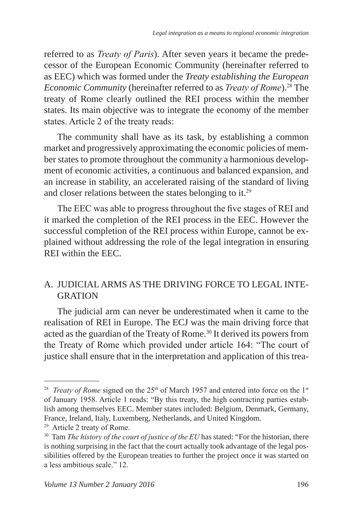referred to as *Treaty of Paris*). After seven years it became the predecessor of the European Economic Community (hereinafter referred to as EEC) which was formed under the *Treaty establishing the European Economic Community (hereinafter referred to as <i>Treaty of Rome*).<sup>28</sup> The treaty of Rome clearly outlined the REI process within the member states. Its main objective was to integrate the economy of the member states. Article 2 of the treaty reads:

The community shall have as its task, by establishing a common market and progressively approximating the economic policies of member states to promote throughout the community a harmonious development of economic activities, a continuous and balanced expansion, and an increase in stability, an accelerated raising of the standard of living and closer relations between the states belonging to it.<sup>29</sup>

The EEC was able to progress throughout the five stages of REI and it marked the completion of the REI process in the EEC. However the successful completion of the REI process within Europe, cannot be explained without addressing the role of the legal integration in ensuring REI within the EEC.

#### A. JUDICIAL ARMS AS THE DRIVING FORCE TO LEGAL INTE-GRATION

The judicial arm can never be underestimated when it came to the realisation of REI in Europe. The ECJ was the main driving force that acted as the guardian of the Treaty of Rome.<sup>30</sup> It derived its powers from the Treaty of Rome which provided under article 164: "The court of justice shall ensure that in the interpretation and application of this trea-

<sup>&</sup>lt;sup>28</sup> *Treaty of Rome* signed on the 25<sup>th</sup> of March 1957 and entered into force on the 1<sup>st</sup> of January 1958. Article 1 reads: "By this treaty, the high contracting parties establish among themselves EEC. Member states included: Belgium, Denmark, Germany, France, Ireland, Italy, Luxemberg, Netherlands, and United Kingdom.

<sup>29</sup> Article 2 treaty of Rome.

<sup>&</sup>lt;sup>30</sup> Tam *The history of the court of justice of the EU* has stated: "For the historian, there is nothing surprising in the fact that the court actually took advantage of the legal possibilities offered by the European treaties to further the project once it was started on a less ambitious scale." 12.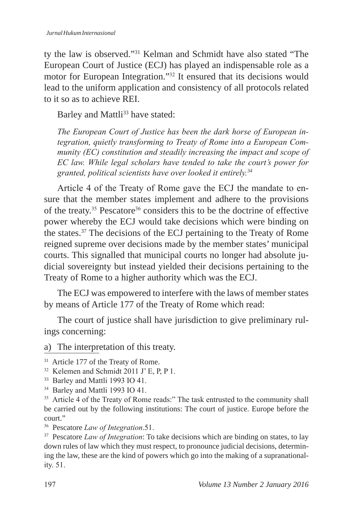ty the law is observed."31 Kelman and Schmidt have also stated "The European Court of Justice (ECJ) has played an indispensable role as a motor for European Integration."<sup>32</sup> It ensured that its decisions would lead to the uniform application and consistency of all protocols related to it so as to achieve REI.

Barley and Mattli<sup>33</sup> have stated:

*The European Court of Justice has been the dark horse of European integration, quietly transforming to Treaty of Rome into a European Community (EC) constitution and steadily increasing the impact and scope of EC law. While legal scholars have tended to take the court's power for granted, political scientists have over looked it entirely.<sup>34</sup>*

Article 4 of the Treaty of Rome gave the ECJ the mandate to ensure that the member states implement and adhere to the provisions of the treaty.<sup>35</sup> Pescatore<sup>36</sup> considers this to be the doctrine of effective power whereby the ECJ would take decisions which were binding on the states.37 The decisions of the ECJ pertaining to the Treaty of Rome reigned supreme over decisions made by the member states' municipal courts. This signalled that municipal courts no longer had absolute judicial sovereignty but instead yielded their decisions pertaining to the Treaty of Rome to a higher authority which was the ECJ.

The ECJ was empowered to interfere with the laws of member states by means of Article 177 of the Treaty of Rome which read:

The court of justice shall have jurisdiction to give preliminary rulings concerning:

a) The interpretation of this treaty.

<sup>36</sup> Pescatore *Law of Integration*.51.

<sup>&</sup>lt;sup>31</sup> Article 177 of the Treaty of Rome.

<sup>&</sup>lt;sup>32</sup> Kelemen and Schmidt 2011 J' E, P, P 1.

<sup>33</sup> Barley and Mattli 1993 IO 41.

<sup>34</sup> Barley and Mattli 1993 IO 41.

<sup>&</sup>lt;sup>35</sup> Article 4 of the Treaty of Rome reads:" The task entrusted to the community shall be carried out by the following institutions: The court of justice. Europe before the court."

<sup>&</sup>lt;sup>37</sup> Pescatore *Law of Integration*: To take decisions which are binding on states, to lay down rules of law which they must respect, to pronounce judicial decisions, determining the law, these are the kind of powers which go into the making of a supranationality. 51.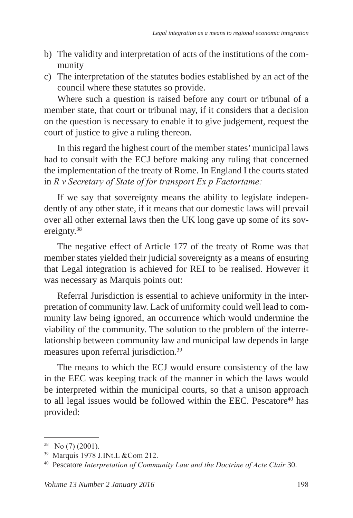- b) The validity and interpretation of acts of the institutions of the community
- c) The interpretation of the statutes bodies established by an act of the council where these statutes so provide.

Where such a question is raised before any court or tribunal of a member state, that court or tribunal may, if it considers that a decision on the question is necessary to enable it to give judgement, request the court of justice to give a ruling thereon.

In this regard the highest court of the member states' municipal laws had to consult with the ECJ before making any ruling that concerned the implementation of the treaty of Rome. In England I the courts stated in *R v Secretary of State of for transport Ex p Factortame:*

If we say that sovereignty means the ability to legislate independently of any other state, if it means that our domestic laws will prevail over all other external laws then the UK long gave up some of its sovereignty.<sup>38</sup>

The negative effect of Article 177 of the treaty of Rome was that member states yielded their judicial sovereignty as a means of ensuring that Legal integration is achieved for REI to be realised. However it was necessary as Marquis points out:

Referral Jurisdiction is essential to achieve uniformity in the interpretation of community law. Lack of uniformity could well lead to community law being ignored, an occurrence which would undermine the viability of the community. The solution to the problem of the interrelationship between community law and municipal law depends in large measures upon referral jurisdiction.<sup>39</sup>

The means to which the ECJ would ensure consistency of the law in the EEC was keeping track of the manner in which the laws would be interpreted within the municipal courts, so that a unison approach to all legal issues would be followed within the EEC. Pescatore<sup>40</sup> has provided:

 $38$  No  $(7)$   $(2001)$ .

<sup>39</sup> Marquis 1978 J.INt.L &Com 212.

<sup>40</sup> Pescatore *Interpretation of Community Law and the Doctrine of Acte Clair* 30.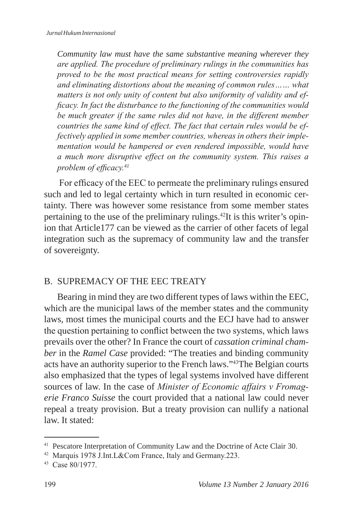*Community law must have the same substantive meaning wherever they are applied. The procedure of preliminary rulings in the communities has proved to be the most practical means for setting controversies rapidly and eliminating distortions about the meaning of common rules…… what matters is not only unity of content but also uniformity of validity and efficacy. In fact the disturbance to the functioning of the communities would be much greater if the same rules did not have, in the different member countries the same kind of effect. The fact that certain rules would be effectively applied in some member countries, whereas in others their implementation would be hampered or even rendered impossible, would have a much more disruptive effect on the community system. This raises a problem of efficacy.<sup>41</sup>*

 For efficacy of the EEC to permeate the preliminary rulings ensured such and led to legal certainty which in turn resulted in economic certainty. There was however some resistance from some member states pertaining to the use of the preliminary rulings.42It is this writer's opinion that Article177 can be viewed as the carrier of other facets of legal integration such as the supremacy of community law and the transfer of sovereignty.

#### B. SUPREMACY OF THE EEC TREATY

Bearing in mind they are two different types of laws within the EEC, which are the municipal laws of the member states and the community laws, most times the municipal courts and the ECJ have had to answer the question pertaining to conflict between the two systems, which laws prevails over the other? In France the court of *cassation criminal chamber* in the *Ramel Case* provided: "The treaties and binding community acts have an authority superior to the French laws."<sup>43</sup>The Belgian courts also emphasized that the types of legal systems involved have different sources of law. In the case of *Minister of Economic affairs v Fromagerie Franco Suisse* the court provided that a national law could never repeal a treaty provision. But a treaty provision can nullify a national law. It stated:

<sup>41</sup> Pescatore Interpretation of Community Law and the Doctrine of Acte Clair 30.

<sup>42</sup> Marquis 1978 J.Int.L&Com France, Italy and Germany.223.

<sup>43</sup> Case 80/1977.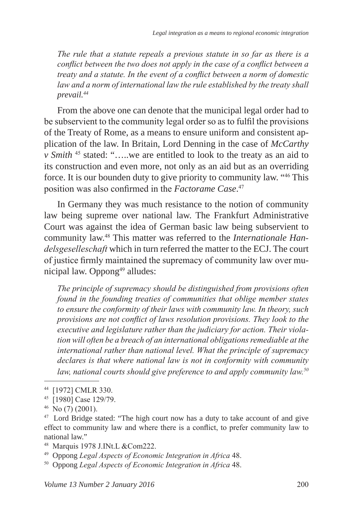*The rule that a statute repeals a previous statute in so far as there is a conflict between the two does not apply in the case of a conflict between a treaty and a statute. In the event of a conflict between a norm of domestic*  law and a norm of international law the rule established by the treaty shall *prevail.44*

From the above one can denote that the municipal legal order had to be subservient to the community legal order so as to fulfil the provisions of the Treaty of Rome, as a means to ensure uniform and consistent application of the law. In Britain, Lord Denning in the case of *McCarthy v Smith* <sup>45</sup> stated: "…..we are entitled to look to the treaty as an aid to its construction and even more, not only as an aid but as an overriding force. It is our bounden duty to give priority to community law. "<sup>46</sup> This position was also confirmed in the *Factorame Case*. 47

In Germany they was much resistance to the notion of community law being supreme over national law. The Frankfurt Administrative Court was against the idea of German basic law being subservient to community law.48 This matter was referred to the *Internationale Handelsgeselleschaft* which in turn referred the matter to the ECJ. The court of justice firmly maintained the supremacy of community law over municipal law. Oppong<sup>49</sup> alludes:

*The principle of supremacy should be distinguished from provisions often found in the founding treaties of communities that oblige member states to ensure the conformity of their laws with community law. In theory, such provisions are not conflict of laws resolution provisions. They look to the executive and legislature rather than the judiciary for action. Their violation will often be a breach of an international obligations remediable at the international rather than national level. What the principle of supremacy declares is that where national law is not in conformity with community law, national courts should give preference to and apply community law.50*

<sup>44 [1972]</sup> CMLR 330.

<sup>45 [1980]</sup> Case 129/79.

 $46$  No  $(7)$  (2001).

<sup>&</sup>lt;sup>47</sup> Lord Bridge stated: "The high court now has a duty to take account of and give effect to community law and where there is a conflict, to prefer community law to national law."

<sup>48</sup> Marquis 1978 J.INt.L &Com222.

<sup>49</sup> Oppong *Legal Aspects of Economic Integration in Africa* 48.

<sup>50</sup> Oppong *Legal Aspects of Economic Integration in Africa* 48.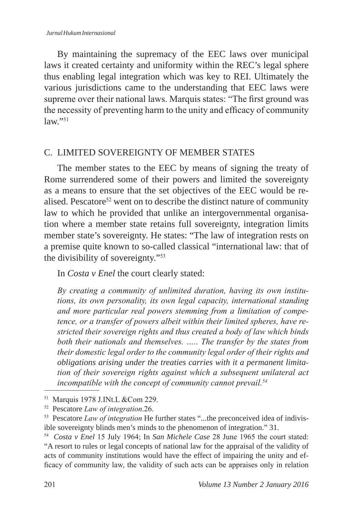By maintaining the supremacy of the EEC laws over municipal laws it created certainty and uniformity within the REC's legal sphere thus enabling legal integration which was key to REI. Ultimately the various jurisdictions came to the understanding that EEC laws were supreme over their national laws. Marquis states: "The first ground was the necessity of preventing harm to the unity and efficacy of community  $law$ "<sup>51</sup>

#### C. LIMITED SOVEREIGNTY OF MEMBER STATES

The member states to the EEC by means of signing the treaty of Rome surrendered some of their powers and limited the sovereignty as a means to ensure that the set objectives of the EEC would be realised. Pescatore<sup>52</sup> went on to describe the distinct nature of community law to which he provided that unlike an intergovernmental organisation where a member state retains full sovereignty, integration limits member state's sovereignty. He states: "The law of integration rests on a premise quite known to so-called classical "international law: that of the divisibility of sovereignty."<sup>53</sup>

In *Costa v Enel* the court clearly stated:

*By creating a community of unlimited duration, having its own institutions, its own personality, its own legal capacity, international standing and more particular real powers stemming from a limitation of competence, or a transfer of powers albeit within their limited spheres, have restricted their sovereign rights and thus created a body of law which binds both their nationals and themselves. ….. The transfer by the states from their domestic legal order to the community legal order of their rights and obligations arising under the treaties carries with it a permanent limitation of their sovereign rights against which a subsequent unilateral act incompatible with the concept of community cannot prevail.54*

<sup>51</sup> Marquis 1978 J.INt.L &Com 229.

<sup>52</sup> Pescatore *Law of integration*.26.

<sup>53</sup> Pescatore *Law of integration* He further states "...the preconceived idea of indivisible sovereignty blinds men's minds to the phenomenon of integration." 31.

<sup>54</sup> *Costa v Enel* 15 July 1964; In *San Michele Case* 28 June 1965 the court stated: "A resort to rules or legal concepts of national law for the appraisal of the validity of acts of community institutions would have the effect of impairing the unity and efficacy of community law, the validity of such acts can be appraises only in relation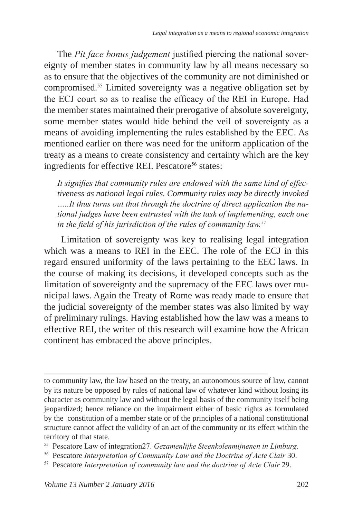The *Pit face bonus judgement* justified piercing the national sovereignty of member states in community law by all means necessary so as to ensure that the objectives of the community are not diminished or compromised.<sup>55</sup> Limited sovereignty was a negative obligation set by the ECJ court so as to realise the efficacy of the REI in Europe. Had the member states maintained their prerogative of absolute sovereignty, some member states would hide behind the veil of sovereignty as a means of avoiding implementing the rules established by the EEC. As mentioned earlier on there was need for the uniform application of the treaty as a means to create consistency and certainty which are the key ingredients for effective REI. Pescatore<sup>56</sup> states:

*It signifies that community rules are endowed with the same kind of effectiveness as national legal rules. Community rules may be directly invoked …..It thus turns out that through the doctrine of direct application the national judges have been entrusted with the task of implementing, each one in the field of his jurisdiction of the rules of community law.57*

 Limitation of sovereignty was key to realising legal integration which was a means to REI in the EEC. The role of the ECJ in this regard ensured uniformity of the laws pertaining to the EEC laws. In the course of making its decisions, it developed concepts such as the limitation of sovereignty and the supremacy of the EEC laws over municipal laws. Again the Treaty of Rome was ready made to ensure that the judicial sovereignty of the member states was also limited by way of preliminary rulings. Having established how the law was a means to effective REI, the writer of this research will examine how the African continent has embraced the above principles.

to community law, the law based on the treaty, an autonomous source of law, cannot by its nature be opposed by rules of national law of whatever kind without losing its character as community law and without the legal basis of the community itself being jeopardized; hence reliance on the impairment either of basic rights as formulated by the constitution of a member state or of the principles of a national constitutional structure cannot affect the validity of an act of the community or its effect within the territory of that state.

<sup>55</sup> Pescatore Law of integration27. *Gezamenlijke Steenkolenmijnenen in Limburg.*

<sup>56</sup> Pescatore *Interpretation of Community Law and the Doctrine of Acte Clair* 30.

<sup>57</sup> Pescatore *Interpretation of community law and the doctrine of Acte Clair* 29.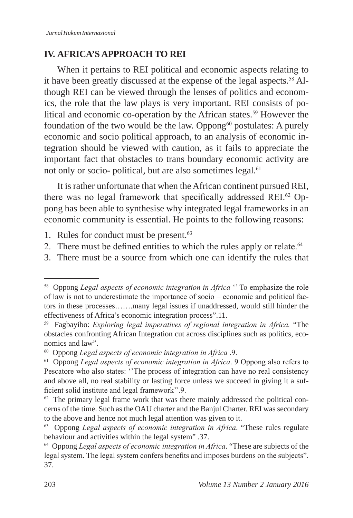### **IV. AFRICA'S APPROACH TO REI**

When it pertains to REI political and economic aspects relating to it have been greatly discussed at the expense of the legal aspects.<sup>58</sup> Although REI can be viewed through the lenses of politics and economics, the role that the law plays is very important. REI consists of political and economic co-operation by the African states.<sup>59</sup> However the foundation of the two would be the law. Oppong $60$  postulates: A purely economic and socio political approach, to an analysis of economic integration should be viewed with caution, as it fails to appreciate the important fact that obstacles to trans boundary economic activity are not only or socio- political, but are also sometimes legal.<sup>61</sup>

It is rather unfortunate that when the African continent pursued REI, there was no legal framework that specifically addressed REI.<sup>62</sup> Oppong has been able to synthesise why integrated legal frameworks in an economic community is essential. He points to the following reasons:

- 1. Rules for conduct must be present.<sup>63</sup>
- 2. There must be defined entities to which the rules apply or relate.<sup>64</sup>
- 3. There must be a source from which one can identify the rules that

<sup>&</sup>lt;sup>58</sup> Oppong *Legal aspects of economic integration in Africa* " To emphasize the role of law is not to underestimate the importance of socio – economic and political factors in these processes…….many legal issues if unaddressed, would still hinder the effectiveness of Africa's economic integration process".11.

<sup>59</sup> Fagbayibo: *Exploring legal imperatives of regional integration in Africa.* "The obstacles confronting African Integration cut across disciplines such as politics, economics and law".

<sup>60</sup> Oppong *Legal aspects of economic integration in Africa* .9.

<sup>61</sup> Oppong *Legal aspects of economic integration in Africa*. 9 Oppong also refers to Pescatore who also states: "The process of integration can have no real consistency and above all, no real stability or lasting force unless we succeed in giving it a sufficient solid institute and legal framework''.9.

 $62$  The primary legal frame work that was there mainly addressed the political concerns of the time. Such as the OAU charter and the Banjul Charter. REI was secondary to the above and hence not much legal attention was given to it.

<sup>63</sup> Oppong *Legal aspects of economic integration in Africa*. "These rules regulate behaviour and activities within the legal system" .37.

<sup>64</sup> Oppong *Legal aspects of economic integration in Africa*. "These are subjects of the legal system. The legal system confers benefits and imposes burdens on the subjects". 37.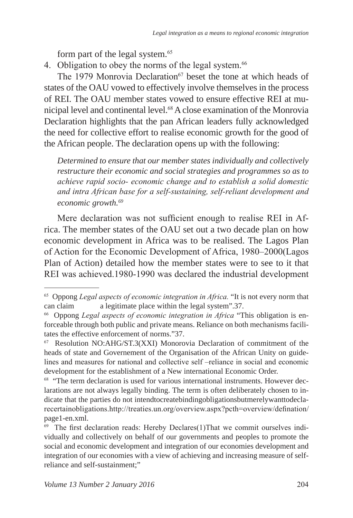form part of the legal system.<sup>65</sup>

4. Obligation to obey the norms of the legal system.<sup>66</sup>

The 1979 Monrovia Declaration<sup>67</sup> beset the tone at which heads of states of the OAU vowed to effectively involve themselves in the process of REI. The OAU member states vowed to ensure effective REI at municipal level and continental level.<sup>68</sup> A close examination of the Monrovia Declaration highlights that the pan African leaders fully acknowledged the need for collective effort to realise economic growth for the good of the African people. The declaration opens up with the following:

*Determined to ensure that our member states individually and collectively restructure their economic and social strategies and programmes so as to achieve rapid socio- economic change and to establish a solid domestic and intra African base for a self-sustaining, self-reliant development and economic growth.69*

Mere declaration was not sufficient enough to realise REI in Africa. The member states of the OAU set out a two decade plan on how economic development in Africa was to be realised. The Lagos Plan of Action for the Economic Development of Africa, 1980–2000(Lagos Plan of Action) detailed how the member states were to see to it that REI was achieved.1980-1990 was declared the industrial development

<sup>65</sup> Oppong *Legal aspects of economic integration in Africa.* "It is not every norm that can claim a legitimate place within the legal system".37.

<sup>66</sup> Oppong *Legal aspects of economic integration in Africa* "This obligation is enforceable through both public and private means. Reliance on both mechanisms facilitates the effective enforcement of norms."37.

<sup>67</sup> Resolution NO:AHG/ST.3(XXI) Monorovia Declaration of commitment of the heads of state and Governement of the Organisation of the African Unity on guidelines and measures for national and collective self –reliance in social and economic development for the establishment of a New international Economic Order.

<sup>68</sup> "The term declaration is used for various international instruments. However declarations are not always legally binding. The term is often deliberately chosen to indicate that the parties do not intendtocreatebindingobligationsbutmerelywanttodeclarecertainobligations.http://treaties.un.org/overview.aspx?pcth=overview/defination/ page1-en.xml.

<sup>&</sup>lt;sup>69</sup> The first declaration reads: Hereby Declares(1)That we commit ourselves individually and collectively on behalf of our governments and peoples to promote the social and economic development and integration of our economies development and integration of our economies with a view of achieving and increasing measure of selfreliance and self-sustainment;"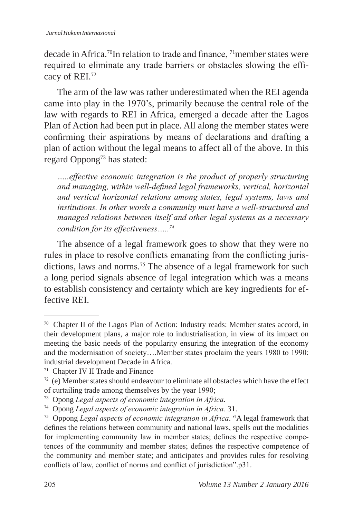decade in Africa.70In relation to trade and finance, 71member states were required to eliminate any trade barriers or obstacles slowing the efficacy of REI.<sup>72</sup>

The arm of the law was rather underestimated when the REI agenda came into play in the 1970's, primarily because the central role of the law with regards to REI in Africa, emerged a decade after the Lagos Plan of Action had been put in place. All along the member states were confirming their aspirations by means of declarations and drafting a plan of action without the legal means to affect all of the above. In this regard Oppong73 has stated:

*…..effective economic integration is the product of properly structuring and managing, within well-defined legal frameworks, vertical, horizontal and vertical horizontal relations among states, legal systems, laws and institutions. In other words a community must have a well-structured and managed relations between itself and other legal systems as a necessary condition for its effectiveness…..74*

The absence of a legal framework goes to show that they were no rules in place to resolve conflicts emanating from the conflicting jurisdictions, laws and norms.<sup>75</sup> The absence of a legal framework for such a long period signals absence of legal integration which was a means to establish consistency and certainty which are key ingredients for effective REI.

<sup>70</sup> Chapter II of the Lagos Plan of Action: Industry reads: Member states accord, in their development plans, a major role to industrialisation, in view of its impact on meeting the basic needs of the popularity ensuring the integration of the economy and the modernisation of society….Member states proclaim the years 1980 to 1990: industrial development Decade in Africa.

<sup>71</sup> Chapter IV II Trade and Finance

 $72$  (e) Member states should endeavour to eliminate all obstacles which have the effect of curtailing trade among themselves by the year 1990;

<sup>73</sup> Opong *Legal aspects of economic integration in Africa*.

<sup>74</sup> Opong *Legal aspects of economic integration in Africa.* 31.

<sup>75</sup> Oppong *Legal aspects of economic integration in Africa*. "A legal framework that defines the relations between community and national laws, spells out the modalities for implementing community law in member states; defines the respective competences of the community and member states; defines the respective competence of the community and member state; and anticipates and provides rules for resolving conflicts of law, conflict of norms and conflict of jurisdiction".p31.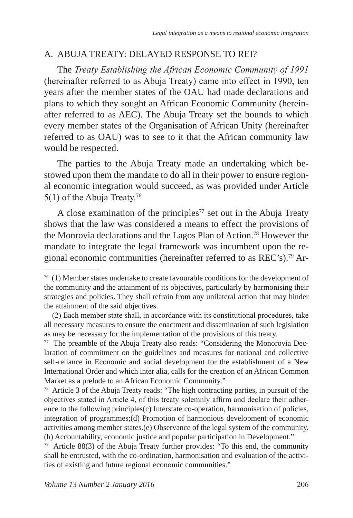#### A. ABUJA TREATY: DELAYED RESPONSE TO REI?

The *Treaty Establishing the African Economic Community of 1991* (hereinafter referred to as Abuja Treaty) came into effect in 1990, ten years after the member states of the OAU had made declarations and plans to which they sought an African Economic Community (hereinafter referred to as AEC). The Abuja Treaty set the bounds to which every member states of the Organisation of African Unity (hereinafter referred to as OAU) was to see to it that the African community law would be respected.

The parties to the Abuja Treaty made an undertaking which bestowed upon them the mandate to do all in their power to ensure regional economic integration would succeed, as was provided under Article 5(1) of the Abuja Treaty.76

A close examination of the principles<sup> $77$ </sup> set out in the Abuja Treaty shows that the law was considered a means to effect the provisions of the Monrovia declarations and the Lagos Plan of Action.78 However the mandate to integrate the legal framework was incumbent upon the regional economic communities (hereinafter referred to as REC's).79 Ar-

78 Article 3 of the Abuja Treaty reads: "The high contracting parties, in pursuit of the objectives stated in Article 4, of this treaty solemnly affirm and declare their adherence to the following principles(c) Interstate co-operation, harmonisation of policies, integration of programmes;(d) Promotion of harmonious development of economic activities among member states.(e) Observance of the legal system of the community. (h) Accountability, economic justice and popular participation in Development."

<sup>79</sup> Article 88(3) of the Abuja Treaty further provides: "To this end, the community shall be entrusted, with the co-ordination, harmonisation and evaluation of the activities of existing and future regional economic communities."

 $76$  (1) Member states undertake to create favourable conditions for the development of the community and the attainment of its objectives, particularly by harmonising their strategies and policies. They shall refrain from any unilateral action that may hinder the attainment of the said objectives.

 <sup>(2)</sup> Each member state shall, in accordance with its constitutional procedures, take all necessary measures to ensure the enactment and dissemination of such legislation as may be necessary for the implementation of the provisions of this treaty.

 $77$  The preamble of the Abuja Treaty also reads: "Considering the Monorovia Declaration of commitment on the guidelines and measures for national and collective self-reliance in Economic and social development for the establishment of a New International Order and which inter alia, calls for the creation of an African Common Market as a prelude to an African Economic Community."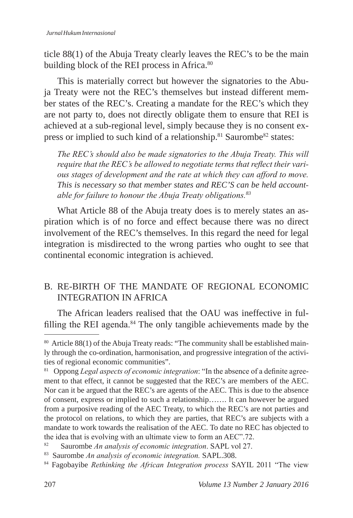ticle 88(1) of the Abuja Treaty clearly leaves the REC's to be the main building block of the REI process in Africa.<sup>80</sup>

This is materially correct but however the signatories to the Abuja Treaty were not the REC's themselves but instead different member states of the REC's. Creating a mandate for the REC's which they are not party to, does not directly obligate them to ensure that REI is achieved at a sub-regional level, simply because they is no consent express or implied to such kind of a relationship.<sup>81</sup> Saurombe<sup>82</sup> states:

*The REC's should also be made signatories to the Abuja Treaty. This will require that the REC's be allowed to negotiate terms that reflect their various stages of development and the rate at which they can afford to move. This is necessary so that member states and REC'S can be held accountable for failure to honour the Abuja Treaty obligations.<sup>83</sup>*

What Article 88 of the Abuja treaty does is to merely states an aspiration which is of no force and effect because there was no direct involvement of the REC's themselves. In this regard the need for legal integration is misdirected to the wrong parties who ought to see that continental economic integration is achieved.

### B. RE-BIRTH OF THE MANDATE OF REGIONAL ECONOMIC INTEGRATION IN AFRICA

The African leaders realised that the OAU was ineffective in fulfilling the REI agenda. $84$  The only tangible achievements made by the

<sup>80</sup> Article 88(1) of the Abuja Treaty reads: "The community shall be established mainly through the co-ordination, harmonisation, and progressive integration of the activities of regional economic communities".

<sup>81</sup> Oppong *Legal aspects of economic integration*: "In the absence of a definite agreement to that effect, it cannot be suggested that the REC's are members of the AEC. Nor can it be argued that the REC's are agents of the AEC. This is due to the absence of consent, express or implied to such a relationship……. It can however be argued from a purposive reading of the AEC Treaty, to which the REC's are not parties and the protocol on relations, to which they are parties, that REC's are subjects with a mandate to work towards the realisation of the AEC. To date no REC has objected to the idea that is evolving with an ultimate view to form an AEC".72.

<sup>82</sup> Saurombe *An analysis of economic integration*. SAPL vol 27.

<sup>83</sup> Saurombe *An analysis of economic integration.* SAPL.308.

<sup>84</sup> Fagobayibe *Rethinking the African Integration process* SAYIL 2011 "The view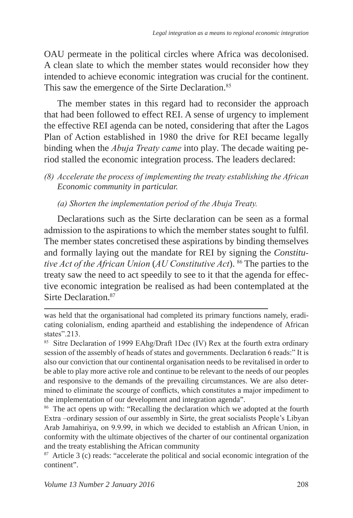OAU permeate in the political circles where Africa was decolonised. A clean slate to which the member states would reconsider how they intended to achieve economic integration was crucial for the continent. This saw the emergence of the Sirte Declaration.<sup>85</sup>

The member states in this regard had to reconsider the approach that had been followed to effect REI. A sense of urgency to implement the effective REI agenda can be noted, considering that after the Lagos Plan of Action established in 1980 the drive for REI became legally binding when the *Abuja Treaty came* into play*.* The decade waiting period stalled the economic integration process. The leaders declared:

#### *(8) Accelerate the process of implementing the treaty establishing the African Economic community in particular.*

*(a) Shorten the implementation period of the Abuja Treaty.*

Declarations such as the Sirte declaration can be seen as a formal admission to the aspirations to which the member states sought to fulfil. The member states concretised these aspirations by binding themselves and formally laying out the mandate for REI by signing the *Constitutive Act of the African Union* (*AU Constitutive Act*). <sup>86</sup> The parties to the treaty saw the need to act speedily to see to it that the agenda for effective economic integration be realised as had been contemplated at the Sirte Declaration.87

<sup>86</sup> The act opens up with: "Recalling the declaration which we adopted at the fourth Extra –ordinary session of our assembly in Sirte, the great socialists People's Libyan Arab Jamahiriya, on 9.9.99, in which we decided to establish an African Union, in conformity with the ultimate objectives of the charter of our continental organization and the treaty establishing the African community

 $87$  Article 3 (c) reads: "accelerate the political and social economic integration of the continent".

was held that the organisational had completed its primary functions namely, eradicating colonialism, ending apartheid and establishing the independence of African states".213.

<sup>85</sup> Sitre Declaration of 1999 EAhg/Draft 1Dec (IV) Rex at the fourth extra ordinary session of the assembly of heads of states and governments. Declaration 6 reads:" It is also our conviction that our continental organisation needs to be revitalised in order to be able to play more active role and continue to be relevant to the needs of our peoples and responsive to the demands of the prevailing circumstances. We are also determined to eliminate the scourge of conflicts, which constitutes a major impediment to the implementation of our development and integration agenda".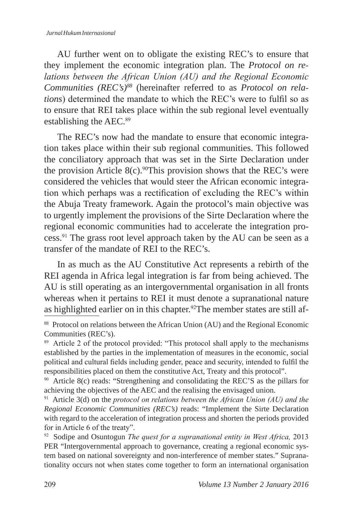AU further went on to obligate the existing REC's to ensure that they implement the economic integration plan. The *Protocol on relations between the African Union (AU) and the Regional Economic Communities (REC's)88* (hereinafter referred to as *Protocol on relations*) determined the mandate to which the REC's were to fulfil so as to ensure that REI takes place within the sub regional level eventually establishing the AEC.<sup>89</sup>

The REC's now had the mandate to ensure that economic integration takes place within their sub regional communities. This followed the conciliatory approach that was set in the Sirte Declaration under the provision Article 8(c).<sup>90</sup>This provision shows that the REC's were considered the vehicles that would steer the African economic integration which perhaps was a rectification of excluding the REC's within the Abuja Treaty framework. Again the protocol's main objective was to urgently implement the provisions of the Sirte Declaration where the regional economic communities had to accelerate the integration process.<sup>91</sup> The grass root level approach taken by the AU can be seen as a transfer of the mandate of REI to the REC's.

In as much as the AU Constitutive Act represents a rebirth of the REI agenda in Africa legal integration is far from being achieved. The AU is still operating as an intergovernmental organisation in all fronts whereas when it pertains to REI it must denote a supranational nature as highlighted earlier on in this chapter.<sup>92</sup>The member states are still af-

<sup>88</sup> Protocol on relations between the African Union (AU) and the Regional Economic Communities (REC's).

<sup>&</sup>lt;sup>89</sup> Article 2 of the protocol provided: "This protocol shall apply to the mechanisms established by the parties in the implementation of measures in the economic, social political and cultural fields including gender, peace and security, intended to fulfil the responsibilities placed on them the constitutive Act, Treaty and this protocol".

<sup>90</sup> Article 8(c) reads: "Strengthening and consolidating the REC'S as the pillars for achieving the objectives of the AEC and the realising the envisaged union.

<sup>91</sup> Article 3(d) on the *protocol on relations between the African Union (AU) and the Regional Economic Communities (REC's)* reads: "Implement the Sirte Declaration with regard to the acceleration of integration process and shorten the periods provided for in Article 6 of the treaty".

<sup>92</sup> Sodipe and Osuntogun *The quest for a supranational entity in West Africa,* 2013 PER "Intergovernmental approach to governance, creating a regional economic system based on national sovereignty and non-interference of member states." Supranationality occurs not when states come together to form an international organisation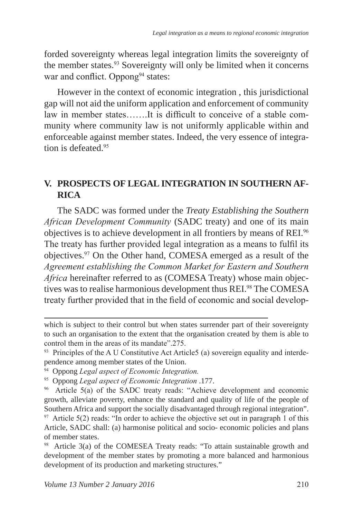forded sovereignty whereas legal integration limits the sovereignty of the member states.<sup>93</sup> Sovereignty will only be limited when it concerns war and conflict. Oppong<sup>94</sup> states:

However in the context of economic integration , this jurisdictional gap will not aid the uniform application and enforcement of community law in member states…….It is difficult to conceive of a stable community where community law is not uniformly applicable within and enforceable against member states. Indeed, the very essence of integration is defeated.<sup>95</sup>

### **V. PROSPECTS OF LEGAL INTEGRATION IN SOUTHERN AF-RICA**

The SADC was formed under the *Treaty Establishing the Southern African Development Community* (SADC treaty) and one of its main objectives is to achieve development in all frontiers by means of REI.<sup>96</sup> The treaty has further provided legal integration as a means to fulfil its objectives.<sup>97</sup> On the Other hand, COMESA emerged as a result of the *Agreement establishing the Common Market for Eastern and Southern Africa* hereinafter referred to as (COMESA Treaty) whose main objectives was to realise harmonious development thus REI.<sup>98</sup> The COMESA treaty further provided that in the field of economic and social develop-

which is subject to their control but when states surrender part of their sovereignty to such an organisation to the extent that the organisation created by them is able to control them in the areas of its mandate".275.

<sup>&</sup>lt;sup>93</sup> Principles of the A U Constitutive Act Article5 (a) sovereign equality and interdependence among member states of the Union.

<sup>94</sup> Oppong *Legal aspect of Economic Integration.*

<sup>95</sup> Oppong *Legal aspect of Economic Integration* .177.

<sup>96</sup> Article 5(a) of the SADC treaty reads: "Achieve development and economic growth, alleviate poverty, enhance the standard and quality of life of the people of Southern Africa and support the socially disadvantaged through regional integration".  $97$  Article 5(2) reads: "In order to achieve the objective set out in paragraph 1 of this Article, SADC shall: (a) harmonise political and socio- economic policies and plans of member states.

<sup>98</sup> Article 3(a) of the COMESEA Treaty reads: "To attain sustainable growth and development of the member states by promoting a more balanced and harmonious development of its production and marketing structures."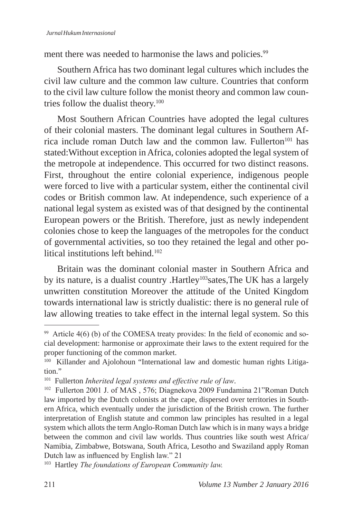ment there was needed to harmonise the laws and policies.<sup>99</sup>

Southern Africa has two dominant legal cultures which includes the civil law culture and the common law culture. Countries that conform to the civil law culture follow the monist theory and common law countries follow the dualist theory.100

Most Southern African Countries have adopted the legal cultures of their colonial masters. The dominant legal cultures in Southern Africa include roman Dutch law and the common law. Fullerton<sup>101</sup> has stated:Without exception in Africa, colonies adopted the legal system of the metropole at independence. This occurred for two distinct reasons. First, throughout the entire colonial experience, indigenous people were forced to live with a particular system, either the continental civil codes or British common law. At independence, such experience of a national legal system as existed was of that designed by the continental European powers or the British. Therefore, just as newly independent colonies chose to keep the languages of the metropoles for the conduct of governmental activities, so too they retained the legal and other political institutions left behind.<sup>102</sup>

Britain was the dominant colonial master in Southern Africa and by its nature, is a dualist country .Hartley<sup>103</sup>sates,The UK has a largely unwritten constitution Moreover the attitude of the United Kingdom towards international law is strictly dualistic: there is no general rule of law allowing treaties to take effect in the internal legal system. So this

 $99$  Article 4(6) (b) of the COMESA treaty provides: In the field of economic and social development: harmonise or approximate their laws to the extent required for the proper functioning of the common market.

<sup>&</sup>lt;sup>100</sup> Killander and Ajolohoun "International law and domestic human rights Litigation."

<sup>101</sup> Fullerton *Inherited legal systems and effective rule of law*.

<sup>102</sup> Fullerton 2001 J. of MAS , 576; Diagnekova 2009 Fundamina 21"Roman Dutch law imported by the Dutch colonists at the cape, dispersed over territories in Southern Africa, which eventually under the jurisdiction of the British crown. The further interpretation of English statute and common law principles has resulted in a legal system which allots the term Anglo-Roman Dutch law which is in many ways a bridge between the common and civil law worlds. Thus countries like south west Africa/ Namibia, Zimbabwe, Botswana, South Africa, Lesotho and Swaziland apply Roman Dutch law as influenced by English law." 21

<sup>103</sup> Hartley *The foundations of European Community law.*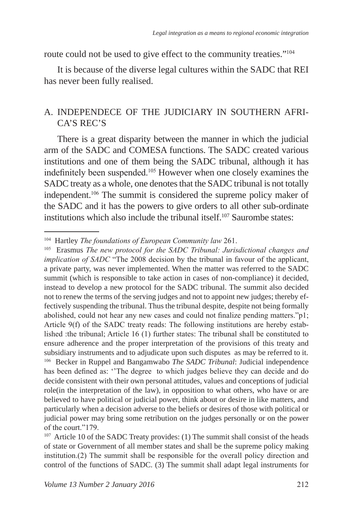route could not be used to give effect to the community treaties."<sup>104</sup>

It is because of the diverse legal cultures within the SADC that REI has never been fully realised.

### A. INDEPENDECE OF THE JUDICIARY IN SOUTHERN AFRI-CA'S REC'S

There is a great disparity between the manner in which the judicial arm of the SADC and COMESA functions. The SADC created various institutions and one of them being the SADC tribunal, although it has indefinitely been suspended.105 However when one closely examines the SADC treaty as a whole, one denotes that the SADC tribunal is not totally independent.<sup>106</sup> The summit is considered the supreme policy maker of the SADC and it has the powers to give orders to all other sub-ordinate institutions which also include the tribunal itself.107 Saurombe states:

<sup>104</sup> Hartley *The foundations of European Community law* 261.

<sup>105</sup> Erasmus *The new protocol for the SADC Tribunal: Jurisdictional changes and implication of SADC* "The 2008 decision by the tribunal in favour of the applicant, a private party, was never implemented. When the matter was referred to the SADC summit (which is responsible to take action in cases of non-compliance) it decided, instead to develop a new protocol for the SADC tribunal. The summit also decided not to renew the terms of the serving judges and not to appoint new judges; thereby effectively suspending the tribunal. Thus the tribunal despite, despite not being formally abolished, could not hear any new cases and could not finalize pending matters."p1; Article 9(f) of the SADC treaty reads: The following institutions are hereby established :the tribunal; Article 16 (1) further states: The tribunal shall be constituted to ensure adherence and the proper interpretation of the provisions of this treaty and subsidiary instruments and to adjudicate upon such disputes as may be referred to it. <sup>106</sup> Becker in Ruppel and Bangamwabo *The SADC Tribunal*: Judicial independence has been defined as: ''The degree to which judges believe they can decide and do decide consistent with their own personal attitudes, values and conceptions of judicial role(in the interpretation of the law), in opposition to what others, who have or are believed to have political or judicial power, think about or desire in like matters, and particularly when a decision adverse to the beliefs or desires of those with political or judicial power may bring some retribution on the judges personally or on the power of the court."179.

<sup>&</sup>lt;sup>107</sup> Article 10 of the SADC Treaty provides: (1) The summit shall consist of the heads of state or Government of all member states and shall be the supreme policy making institution.(2) The summit shall be responsible for the overall policy direction and control of the functions of SADC. (3) The summit shall adapt legal instruments for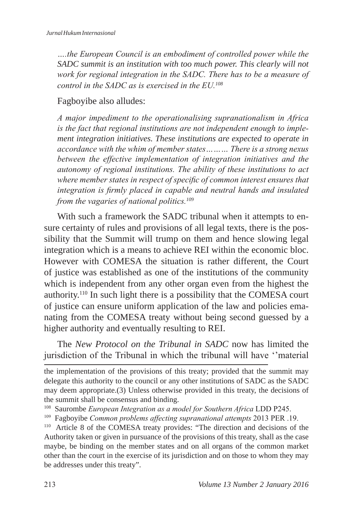*….the European Council is an embodiment of controlled power while the SADC summit is an institution with too much power. This clearly will not work for regional integration in the SADC. There has to be a measure of control in the SADC as is exercised in the EU.<sup>108</sup>*

Fagboyibe also alludes:

*A major impediment to the operationalising supranationalism in Africa is the fact that regional institutions are not independent enough to implement integration initiatives. These institutions are expected to operate in accordance with the whim of member states……… There is a strong nexus between the effective implementation of integration initiatives and the autonomy of regional institutions. The ability of these institutions to act where member states in respect of specific of common interest ensures that integration is firmly placed in capable and neutral hands and insulated from the vagaries of national politics.<sup>109</sup>*

With such a framework the SADC tribunal when it attempts to ensure certainty of rules and provisions of all legal texts, there is the possibility that the Summit will trump on them and hence slowing legal integration which is a means to achieve REI within the economic bloc. However with COMESA the situation is rather different, the Court of justice was established as one of the institutions of the community which is independent from any other organ even from the highest the authority.110 In such light there is a possibility that the COMESA court of justice can ensure uniform application of the law and policies emanating from the COMESA treaty without being second guessed by a higher authority and eventually resulting to REI.

The *New Protocol on the Tribunal in SADC* now has limited the jurisdiction of the Tribunal in which the tribunal will have ''material

the implementation of the provisions of this treaty; provided that the summit may delegate this authority to the council or any other institutions of SADC as the SADC may deem appropriate.(3) Unless otherwise provided in this treaty, the decisions of the summit shall be consensus and binding.

<sup>108</sup> Saurombe *European Integration as a model for Southern Africa* LDD P245.

<sup>109</sup> Fagboyibe *Common problems affecting supranational attempts* 2013 PER .19.

<sup>&</sup>lt;sup>110</sup> Article 8 of the COMESA treaty provides: "The direction and decisions of the Authority taken or given in pursuance of the provisions of this treaty, shall as the case maybe, be binding on the member states and on all organs of the common market other than the court in the exercise of its jurisdiction and on those to whom they may be addresses under this treaty".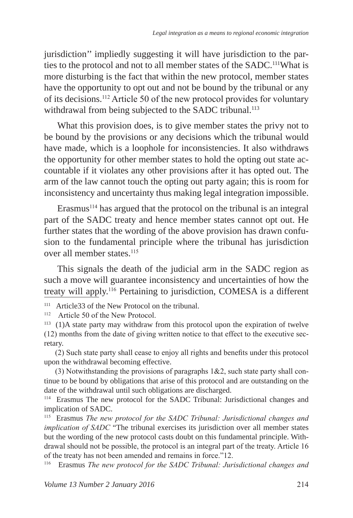jurisdiction'' impliedly suggesting it will have jurisdiction to the parties to the protocol and not to all member states of the SADC.111What is more disturbing is the fact that within the new protocol, member states have the opportunity to opt out and not be bound by the tribunal or any of its decisions.112 Article 50 of the new protocol provides for voluntary withdrawal from being subjected to the SADC tribunal.<sup>113</sup>

What this provision does, is to give member states the privy not to be bound by the provisions or any decisions which the tribunal would have made, which is a loophole for inconsistencies. It also withdraws the opportunity for other member states to hold the opting out state accountable if it violates any other provisions after it has opted out. The arm of the law cannot touch the opting out party again; this is room for inconsistency and uncertainty thus making legal integration impossible.

Erasmus<sup>114</sup> has argued that the protocol on the tribunal is an integral part of the SADC treaty and hence member states cannot opt out. He further states that the wording of the above provision has drawn confusion to the fundamental principle where the tribunal has jurisdiction over all member states.<sup>115</sup>

This signals the death of the judicial arm in the SADC region as such a move will guarantee inconsistency and uncertainties of how the treaty will apply.<sup>116</sup> Pertaining to jurisdiction, COMESA is a different

(2) Such state party shall cease to enjoy all rights and benefits under this protocol upon the withdrawal becoming effective.

(3) Notwithstanding the provisions of paragraphs  $1&2$ , such state party shall continue to be bound by obligations that arise of this protocol and are outstanding on the date of the withdrawal until such obligations are discharged.

<sup>114</sup> Erasmus The new protocol for the SADC Tribunal: Jurisdictional changes and implication of SADC.

<sup>115</sup> Erasmus *The new protocol for the SADC Tribunal: Jurisdictional changes and implication of SADC* "The tribunal exercises its jurisdiction over all member states but the wording of the new protocol casts doubt on this fundamental principle. Withdrawal should not be possible, the protocol is an integral part of the treaty. Article 16 of the treaty has not been amended and remains in force."12.

116 Erasmus *The new protocol for the SADC Tribunal: Jurisdictional changes and* 

<sup>&</sup>lt;sup>111</sup> Article 33 of the New Protocol on the tribunal.<br><sup>112</sup> Article 50 of the New Protocol

Article 50 of the New Protocol.

<sup>113 (1)</sup>A state party may withdraw from this protocol upon the expiration of twelve (12) months from the date of giving written notice to that effect to the executive secretary.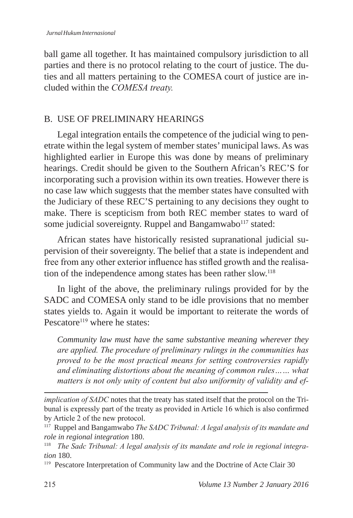ball game all together. It has maintained compulsory jurisdiction to all parties and there is no protocol relating to the court of justice. The duties and all matters pertaining to the COMESA court of justice are included within the *COMESA treaty.*

### B. USE OF PRELIMINARY HEARINGS

Legal integration entails the competence of the judicial wing to penetrate within the legal system of member states' municipal laws. As was highlighted earlier in Europe this was done by means of preliminary hearings. Credit should be given to the Southern African's REC'S for incorporating such a provision within its own treaties. However there is no case law which suggests that the member states have consulted with the Judiciary of these REC'S pertaining to any decisions they ought to make. There is scepticism from both REC member states to ward of some judicial sovereignty. Ruppel and Bangamwabo<sup>117</sup> stated:

African states have historically resisted supranational judicial supervision of their sovereignty. The belief that a state is independent and free from any other exterior influence has stifled growth and the realisation of the independence among states has been rather slow.<sup>118</sup>

In light of the above, the preliminary rulings provided for by the SADC and COMESA only stand to be idle provisions that no member states yields to. Again it would be important to reiterate the words of Pescatore $119$  where he states:

*Community law must have the same substantive meaning wherever they are applied. The procedure of preliminary rulings in the communities has proved to be the most practical means for setting controversies rapidly and eliminating distortions about the meaning of common rules…… what matters is not only unity of content but also uniformity of validity and ef-*

*implication of SADC* notes that the treaty has stated itself that the protocol on the Tribunal is expressly part of the treaty as provided in Article 16 which is also confirmed by Article 2 of the new protocol.

<sup>117</sup> Ruppel and Bangamwabo *The SADC Tribunal: A legal analysis of its mandate and role in regional integration* 180.

<sup>&</sup>lt;sup>118</sup> The Sadc Tribunal: A legal analysis of its mandate and role in regional integra*tion* 180.

<sup>&</sup>lt;sup>119</sup> Pescatore Interpretation of Community law and the Doctrine of Acte Clair 30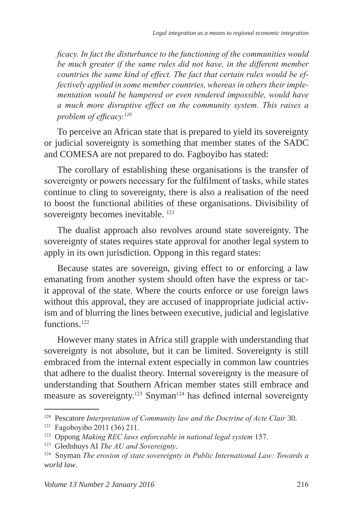*ficacy. In fact the disturbance to the functioning of the communities would be much greater if the same rules did not have, in the different member countries the same kind of effect. The fact that certain rules would be effectively applied in some member countries, whereas in others their implementation would be hampered or even rendered impossible, would have a much more disruptive effect on the community system. This raises a problem of efficacy.<sup>120</sup>*

To perceive an African state that is prepared to yield its sovereignty or judicial sovereignty is something that member states of the SADC and COMESA are not prepared to do. Fagboyibo has stated:

The corollary of establishing these organisations is the transfer of sovereignty or powers necessary for the fulfilment of tasks, while states continue to cling to sovereignty, there is also a realisation of the need to boost the functional abilities of these organisations. Divisibility of sovereignty becomes inevitable.<sup>121</sup>

The dualist approach also revolves around state sovereignty. The sovereignty of states requires state approval for another legal system to apply in its own jurisdiction. Oppong in this regard states:

Because states are sovereign, giving effect to or enforcing a law emanating from another system should often have the express or tacit approval of the state. Where the courts enforce or use foreign laws without this approval, they are accused of inappropriate judicial activism and of blurring the lines between executive, judicial and legislative functions.<sup>122</sup>

However many states in Africa still grapple with understanding that sovereignty is not absolute, but it can be limited. Sovereignty is still embraced from the internal extent especially in common law countries that adhere to the dualist theory. Internal sovereignty is the measure of understanding that Southern African member states still embrace and measure as sovereignty.<sup>123</sup> Snyman<sup>124</sup> has defined internal sovereignty

<sup>&</sup>lt;sup>120</sup> Pescatore *Interpretation of Community law and the Doctrine of Acte Clair* 30.

<sup>121</sup> Fagoboyibo 2011 (36) 211.

<sup>122</sup> Oppong *Making REC laws enforceable in national legal system* 157.

<sup>123</sup> Glednhuys AI *The AU and Sovereignty*.

<sup>124</sup> Snyman *The erosion of state sovereignty in Public International Law: Towards a world law*.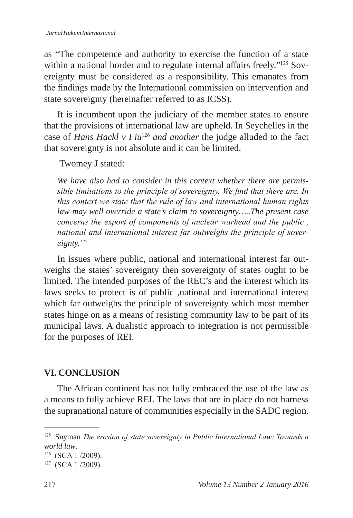as "The competence and authority to exercise the function of a state within a national border and to regulate internal affairs freely."<sup>125</sup> Sovereignty must be considered as a responsibility. This emanates from the findings made by the International commission on intervention and state sovereignty (hereinafter referred to as ICSS).

It is incumbent upon the judiciary of the member states to ensure that the provisions of international law are upheld. In Seychelles in the case of *Hans Hackl v Fiu*<sup>126</sup> *and another* the judge alluded to the fact that sovereignty is not absolute and it can be limited.

Twomey J stated:

*We have also had to consider in this context whether there are permissible limitations to the principle of sovereignty. We find that there are. In this context we state that the rule of law and international human rights law may well override a state's claim to sovereignty…..The present case concerns the export of components of nuclear warhead and the public , national and international interest far outweighs the principle of sovereignty.<sup>127</sup>*

In issues where public, national and international interest far outweighs the states' sovereignty then sovereignty of states ought to be limited. The intended purposes of the REC's and the interest which its laws seeks to protect is of public ,national and international interest which far outweighs the principle of sovereignty which most member states hinge on as a means of resisting community law to be part of its municipal laws. A dualistic approach to integration is not permissible for the purposes of REI.

#### **VI. CONCLUSION**

The African continent has not fully embraced the use of the law as a means to fully achieve REI. The laws that are in place do not harness the supranational nature of communities especially in the SADC region.

<sup>125</sup> Snyman *The erosion of state sovereignty in Public International Law: Towards a world law*.

<sup>126 (</sup>SCA 1 /2009).

<sup>127 (</sup>SCA 1 /2009).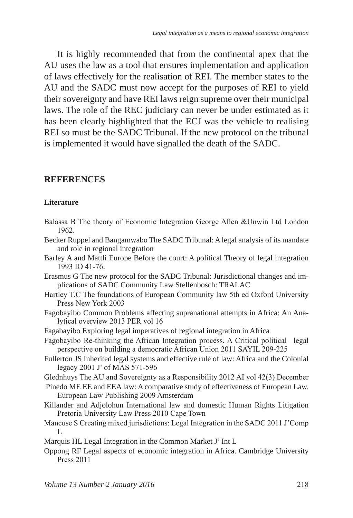It is highly recommended that from the continental apex that the AU uses the law as a tool that ensures implementation and application of laws effectively for the realisation of REI. The member states to the AU and the SADC must now accept for the purposes of REI to yield their sovereignty and have REI laws reign supreme over their municipal laws. The role of the REC judiciary can never be under estimated as it has been clearly highlighted that the ECJ was the vehicle to realising REI so must be the SADC Tribunal. If the new protocol on the tribunal is implemented it would have signalled the death of the SADC.

#### **REFERENCES**

#### **Literature**

- Balassa B The theory of Economic Integration George Allen &Unwin Ltd London 1962.
- Becker Ruppel and Bangamwabo The SADC Tribunal: A legal analysis of its mandate and role in regional integration
- Barley A and Mattli Europe Before the court: A political Theory of legal integration 1993 IO 41-76.
- Erasmus G The new protocol for the SADC Tribunal: Jurisdictional changes and implications of SADC Community Law Stellenbosch: TRALAC
- Hartley T.C The foundations of European Community law 5th ed Oxford University Press New York 2003
- Fagobayibo Common Problems affecting supranational attempts in Africa: An Analytical overview 2013 PER vol 16
- Fagabayibo Exploring legal imperatives of regional integration in Africa
- Fagobayibo Re-thinking the African Integration process. A Critical political –legal perspective on building a democratic African Union 2011 SAYIL 209-225
- Fullerton JS Inherited legal systems and effective rule of law: Africa and the Colonial legacy 2001 J' of MAS 571-596
- Glednhuys The AU and Sovereignty as a Responsibility 2012 AI vol 42(3) December
- Pinedo ME EE and EEA law: A comparative study of effectiveness of European Law. European Law Publishing 2009 Amsterdam
- Killander and Adjolohun International law and domestic Human Rights Litigation Pretoria University Law Press 2010 Cape Town
- Mancuse S Creating mixed jurisdictions: Legal Integration in the SADC 2011 J'Comp  $\mathbf{L}$
- Marquis HL Legal Integration in the Common Market J' Int L
- Oppong RF Legal aspects of economic integration in Africa. Cambridge University Press 2011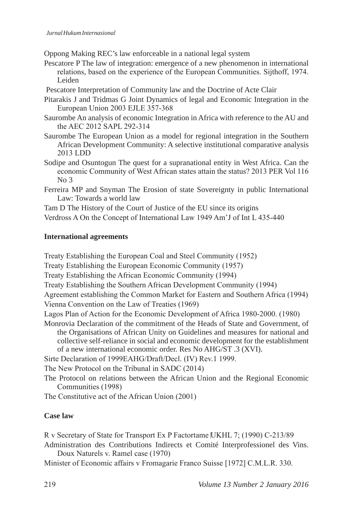Oppong Making REC's law enforceable in a national legal system

Pescatore P The law of integration: emergence of a new phenomenon in international relations, based on the experience of the European Communities. Sijthoff, 1974. Leiden

Pescatore Interpretation of Community law and the Doctrine of Acte Clair

- Pitarakis J and Tridmas G Joint Dynamics of legal and Economic Integration in the European Union 2003 EJLE 357-368
- Saurombe An analysis of economic Integration in Africa with reference to the AU and the AEC 2012 SAPL 292-314
- Saurombe The European Union as a model for regional integration in the Southern African Development Community: A selective institutional comparative analysis 2013 LDD
- Sodipe and Osuntogun The quest for a supranational entity in West Africa. Can the economic Community of West African states attain the status? 2013 PER Vol 116 No 3
- Ferreira MP and Snyman The Erosion of state Sovereignty in public International Law: Towards a world law

Tam D The History of the Court of Justice of the EU since its origins

Verdross A On the Concept of International Law 1949 Am'J of Int L 435-440

#### **International agreements**

Treaty Establishing the European Coal and Steel Community (1952)

Treaty Establishing the European Economic Community (1957)

Treaty Establishing the African Economic Community (1994)

Treaty Establishing the Southern African Development Community (1994)

Agreement establishing the Common Market for Eastern and Southern Africa (1994) Vienna Convention on the Law of Treaties (1969)

- Lagos Plan of Action for the Economic Development of Africa 1980-2000. (1980)
- Monrovia Declaration of the commitment of the Heads of State and Government, of the Organisations of African Unity on Guidelines and measures for national and collective self-reliance in social and economic development for the establishment of a new international economic order. Res No AHG/ST .3 (XVI).

Sirte Declaration of 1999EAHG/Draft/Decl. (IV) Rev.1 1999.

The New Protocol on the Tribunal in SADC (2014)

The Protocol on relations between the African Union and the Regional Economic Communities (1998)

The Constitutive act of the African Union (2001)

#### **Case law**

R v Secretary of State for Transport Ex P Factortame UKHL 7; (1990) C-213/89

Administration des Contributions Indirects et Comité Interprofessionel des Vins. Doux Naturels v. Ramel case (1970)

Minister of Economic affairs v Fromagarie Franco Suisse [1972] C.M.L.R. 330.